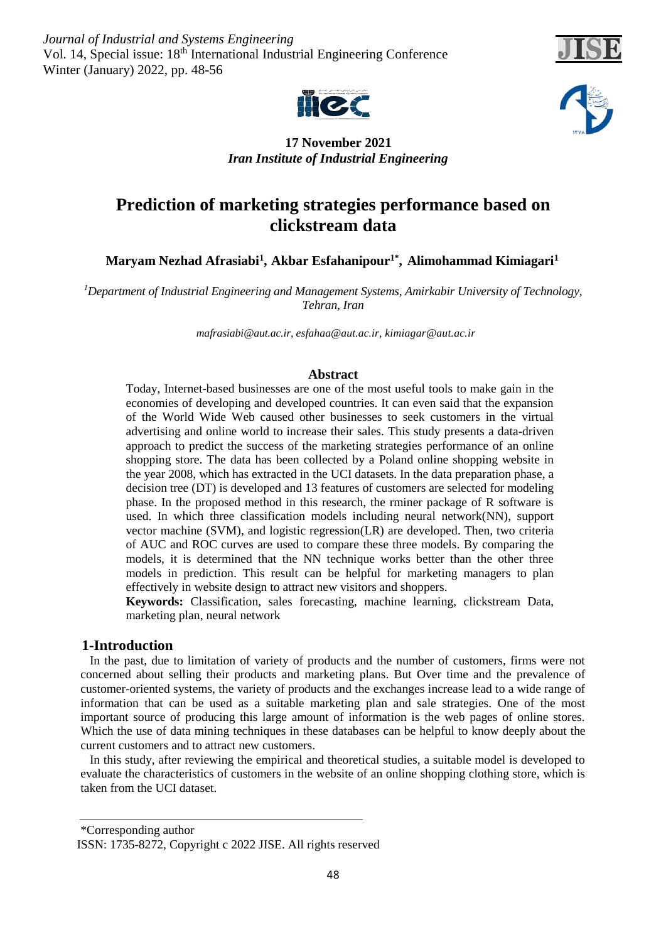*Journal of Industrial and Systems Engineering* Vol. 14, Special issue: 18<sup>th</sup> International Industrial Engineering Conference Winter (January) 2022, pp. 48-56







# **17 November 2021** *Iran Institute of Industrial Engineering*

# **Prediction of marketing strategies performance based on clickstream data**

 $\mathbf{M}$ aryam Nezhad Afrasiabi<sup>1</sup>, Akbar Esfahanipour $^{1*}$ , Alimohammad Kimiagari $^{1}$ 

*Department of Industrial Engineering and Management Systems, Amirkabir University of Technology, 1 Tehran, Iran*

*mafrasiabi@aut.ac.ir[, esfahaa@aut.ac.ir,](mailto:esfahaa@aut.ac.ir) kimiagar@aut.ac.ir*

# **Abstract**

Today, Internet-based businesses are one of the most useful tools to make gain in the economies of developing and developed countries. It can even said that the expansion of the World Wide Web caused other businesses to seek customers in the virtual advertising and online world to increase their sales. This study presents a data-driven approach to predict the success of the marketing strategies performance of an online shopping store. The data has been collected by a Poland online shopping website in the year 2008, which has extracted in the UCI datasets. In the data preparation phase, a decision tree (DT) is developed and 13 features of customers are selected for modeling phase. In the proposed method in this research, the rminer package of R software is used. In which three classification models including neural network(NN), support vector machine (SVM), and logistic regression(LR) are developed. Then, two criteria of AUC and ROC curves are used to compare these three models. By comparing the models, it is determined that the NN technique works better than the other three models in prediction. This result can be helpful for marketing managers to plan effectively in website design to attract new visitors and shoppers.

**Keywords:** Classification, sales forecasting, machine learning, clickstream Data, marketing plan, neural network

# **1-Introduction**

 In the past, due to limitation of variety of products and the number of customers, firms were not concerned about selling their products and marketing plans. But Over time and the prevalence of customer-oriented systems, the variety of products and the exchanges increase lead to a wide range of information that can be used as a suitable marketing plan and sale strategies. One of the most important source of producing this large amount of information is the web pages of online stores. Which the use of data mining techniques in these databases can be helpful to know deeply about the current customers and to attract new customers.

 In this study, after reviewing the empirical and theoretical studies, a suitable model is developed to evaluate the characteristics of customers in the website of an online shopping clothing store, which is taken from the UCI dataset.

<sup>\*</sup>Corresponding author ISSN: 1735-8272, Copyright c 2022 JISE. All rights reserved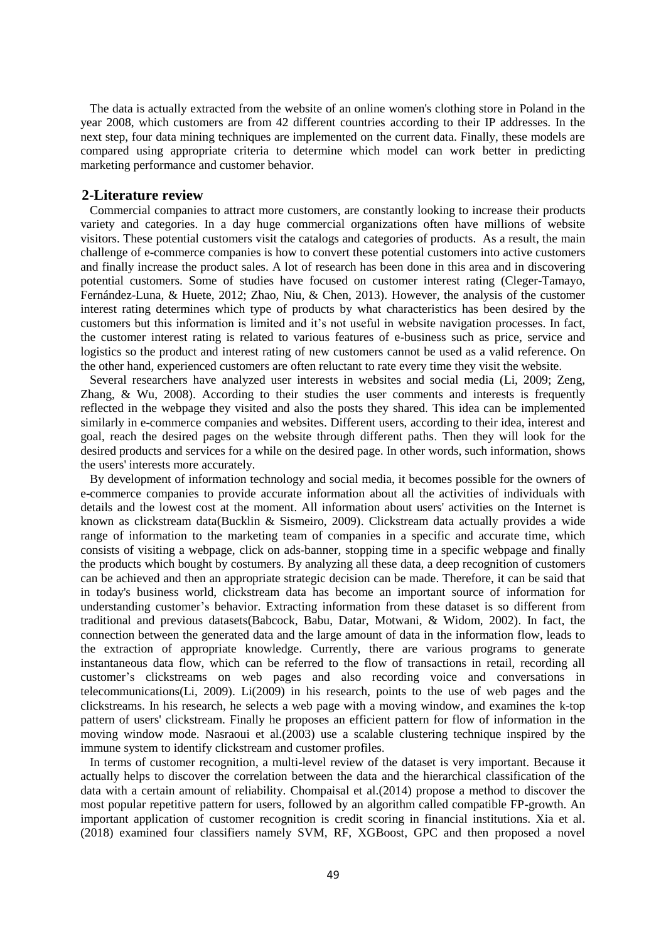The data is actually extracted from the website of an online women's clothing store in Poland in the year 2008, which customers are from 42 different countries according to their IP addresses. In the next step, four data mining techniques are implemented on the current data. Finally, these models are compared using appropriate criteria to determine which model can work better in predicting marketing performance and customer behavior.

### **2-Literature review**

 Commercial companies to attract more customers, are constantly looking to increase their products variety and categories. In a day huge commercial organizations often have millions of website visitors. These potential customers visit the catalogs and categories of products. As a result, the main challenge of e-commerce companies is how to convert these potential customers into active customers and finally increase the product sales. A lot of research has been done in this area and in discovering potential customers. Some of studies have focused on customer interest rating (Cleger-Tamayo, Fernández-Luna, & Huete, 2012; Zhao, Niu, & Chen, 2013). However, the analysis of the customer interest rating determines which type of products by what characteristics has been desired by the customers but this information is limited and it's not useful in website navigation processes. In fact, the customer interest rating is related to various features of e-business such as price, service and logistics so the product and interest rating of new customers cannot be used as a valid reference. On the other hand, experienced customers are often reluctant to rate every time they visit the website.

 Several researchers have analyzed user interests in websites and social media (Li, 2009; Zeng, Zhang,  $\&$  Wu, 2008). According to their studies the user comments and interests is frequently reflected in the webpage they visited and also the posts they shared. This idea can be implemented similarly in e-commerce companies and websites. Different users, according to their idea, interest and goal, reach the desired pages on the website through different paths. Then they will look for the desired products and services for a while on the desired page. In other words, such information, shows the users' interests more accurately.

 By development of information technology and social media, it becomes possible for the owners of e-commerce companies to provide accurate information about all the activities of individuals with details and the lowest cost at the moment. All information about users' activities on the Internet is known as clickstream data(Bucklin & Sismeiro, 2009). Clickstream data actually provides a wide range of information to the marketing team of companies in a specific and accurate time, which consists of visiting a webpage, click on ads-banner, stopping time in a specific webpage and finally the products which bought by costumers. By analyzing all these data, a deep recognition of customers can be achieved and then an appropriate strategic decision can be made. Therefore, it can be said that in today's business world, clickstream data has become an important source of information for understanding customer's behavior. Extracting information from these dataset is so different from traditional and previous datasets(Babcock, Babu, Datar, Motwani, & Widom, 2002). In fact, the connection between the generated data and the large amount of data in the information flow, leads to the extraction of appropriate knowledge. Currently, there are various programs to generate instantaneous data flow, which can be referred to the flow of transactions in retail, recording all customer's clickstreams on web pages and also recording voice and conversations in telecommunications(Li, 2009). Li(2009) in his research, points to the use of web pages and the clickstreams. In his research, he selects a web page with a moving window, and examines the k-top pattern of users' clickstream. Finally he proposes an efficient pattern for flow of information in the moving window mode. Nasraoui et al.(2003) use a scalable clustering technique inspired by the immune system to identify clickstream and customer profiles.

 In terms of customer recognition, a multi-level review of the dataset is very important. Because it actually helps to discover the correlation between the data and the hierarchical classification of the data with a certain amount of reliability. Chompaisal et al.(2014) propose a method to discover the most popular repetitive pattern for users, followed by an algorithm called compatible FP-growth. An important application of customer recognition is credit scoring in financial institutions. Xia et al. (2018) examined four classifiers namely SVM, RF, XGBoost, GPC and then proposed a novel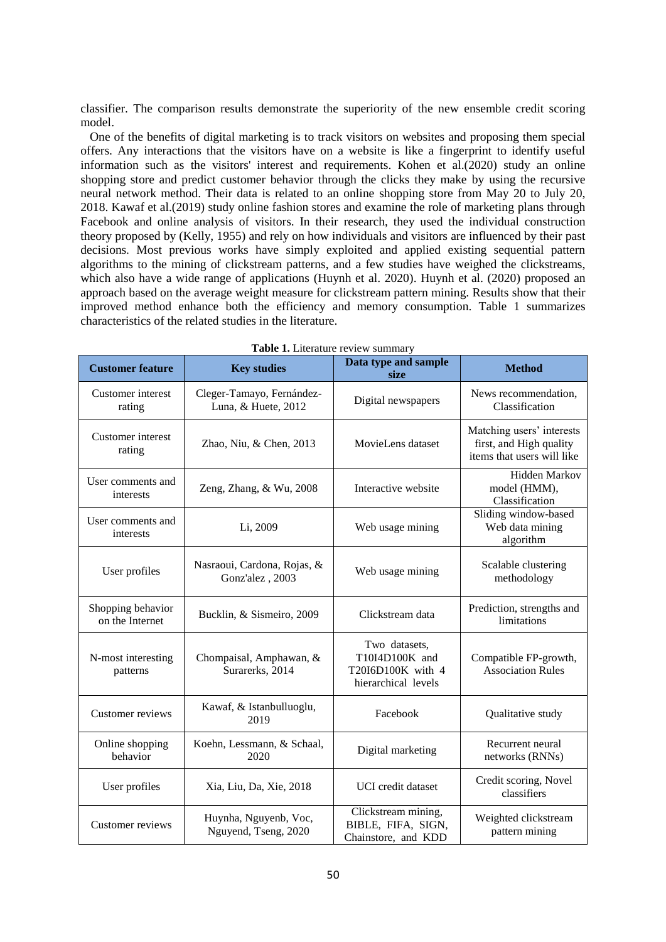classifier. The comparison results demonstrate the superiority of the new ensemble credit scoring model.

 One of the benefits of digital marketing is to track visitors on websites and proposing them special offers. Any interactions that the visitors have on a website is like a fingerprint to identify useful information such as the visitors' interest and requirements. Kohen et al.(2020) study an online shopping store and predict customer behavior through the clicks they make by using the recursive neural network method. Their data is related to an online shopping store from May 20 to July 20, 2018. Kawaf et al.(2019) study online fashion stores and examine the role of marketing plans through Facebook and online analysis of visitors. In their research, they used the individual construction theory proposed by (Kelly, 1955) and rely on how individuals and visitors are influenced by their past decisions. Most previous works have simply exploited and applied existing sequential pattern algorithms to the mining of clickstream patterns, and a few studies have weighed the clickstreams, which also have a wide range of applications (Huynh et al. 2020). Huynh et al. (2020) proposed an approach based on the average weight measure for clickstream pattern mining. Results show that their improved method enhance both the efficiency and memory consumption. Table 1 summarizes characteristics of the related studies in the literature.

| <b>Customer feature</b>              | <b>Key studies</b>                                                                                                        | Data type and sample<br>size | <b>Method</b>                                                                      |  |
|--------------------------------------|---------------------------------------------------------------------------------------------------------------------------|------------------------------|------------------------------------------------------------------------------------|--|
| Customer interest<br>rating          | Cleger-Tamayo, Fernández-<br>Luna, & Huete, 2012                                                                          | Digital newspapers           |                                                                                    |  |
| Customer interest<br>rating          | MovieLens dataset<br>Zhao, Niu, & Chen, 2013                                                                              |                              | Matching users' interests<br>first, and High quality<br>items that users will like |  |
| User comments and<br>interests       | Zeng, Zhang, & Wu, 2008                                                                                                   | Interactive website          | <b>Hidden Markov</b><br>model (HMM),<br>Classification                             |  |
| User comments and<br>interests       | Li, 2009                                                                                                                  | Web usage mining             | Sliding window-based<br>Web data mining<br>algorithm                               |  |
| User profiles                        | Nasraoui, Cardona, Rojas, &<br>Gonz'alez, 2003                                                                            | Web usage mining             | Scalable clustering<br>methodology                                                 |  |
| Shopping behavior<br>on the Internet | Bucklin, & Sismeiro, 2009                                                                                                 | Clickstream data             | Prediction, strengths and<br>limitations                                           |  |
| N-most interesting<br>patterns       | Two datasets,<br>T10I4D100K and<br>Chompaisal, Amphawan, &<br>Surarerks, 2014<br>T20I6D100K with 4<br>hierarchical levels |                              | Compatible FP-growth,<br><b>Association Rules</b>                                  |  |
| Customer reviews                     | Kawaf, & Istanbulluoglu,<br>2019                                                                                          | Facebook                     | Qualitative study                                                                  |  |
| Online shopping<br>behavior          | Koehn, Lessmann, & Schaal,<br>2020                                                                                        | Digital marketing            | Recurrent neural<br>networks (RNNs)                                                |  |
| User profiles                        | <b>UCI</b> credit dataset<br>Xia, Liu, Da, Xie, 2018                                                                      |                              | Credit scoring, Novel<br>classifiers                                               |  |
| Customer reviews                     | Huynha, Nguyenb, Voc,<br>Nguyend, Tseng, 2020                                                                             |                              | Weighted clickstream<br>pattern mining                                             |  |

| <b>Table 1.</b> Literature review summary |
|-------------------------------------------|
|-------------------------------------------|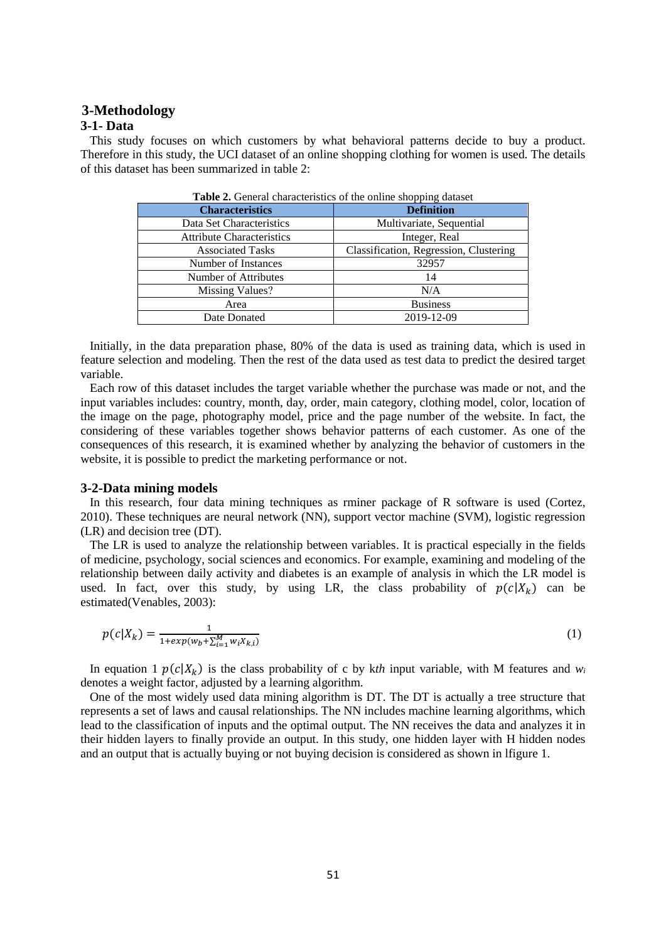# **3-Methodology**

## **3-1- Data**

 This study focuses on which customers by what behavioral patterns decide to buy a product. Therefore in this study, the UCI dataset of an online shopping clothing for women is used. The details of this dataset has been summarized in table 2:

| <b>Table 2.</b> General characteristics of the online shopping dataset |                                        |  |  |  |
|------------------------------------------------------------------------|----------------------------------------|--|--|--|
| <b>Characteristics</b>                                                 | <b>Definition</b>                      |  |  |  |
| Data Set Characteristics                                               | Multivariate, Sequential               |  |  |  |
| <b>Attribute Characteristics</b>                                       | Integer, Real                          |  |  |  |
| <b>Associated Tasks</b>                                                | Classification, Regression, Clustering |  |  |  |
| Number of Instances                                                    | 32957                                  |  |  |  |
| Number of Attributes                                                   | 14                                     |  |  |  |
| Missing Values?                                                        | N/A                                    |  |  |  |
| Area                                                                   | <b>Business</b>                        |  |  |  |
| Date Donated                                                           | 2019-12-09                             |  |  |  |

 Initially, in the data preparation phase, 80% of the data is used as training data, which is used in feature selection and modeling. Then the rest of the data used as test data to predict the desired target variable.

 Each row of this dataset includes the target variable whether the purchase was made or not, and the input variables includes: country, month, day, order, main category, clothing model, color, location of the image on the page, photography model, price and the page number of the website. In fact, the considering of these variables together shows behavior patterns of each customer. As one of the consequences of this research, it is examined whether by analyzing the behavior of customers in the website, it is possible to predict the marketing performance or not.

### **3-2-Data mining models**

 In this research, four data mining techniques as rminer package of R software is used (Cortez, 2010). These techniques are neural network (NN), support vector machine (SVM), logistic regression (LR) and decision tree (DT).

 The LR is used to analyze the relationship between variables. It is practical especially in the fields of medicine, psychology, social sciences and economics. For example, examining and modeling of the relationship between daily activity and diabetes is an example of analysis in which the LR model is used. In fact, over this study, by using LR, the class probability of  $p(c|X_k)$  can be estimated(Venables, 2003):

$$
p(c|X_k) = \frac{1}{1 + exp(w_b + \sum_{i=1}^{M} w_i X_{k,i})}
$$
(1)

In equation 1  $p(c|X_k)$  is the class probability of c by kth input variable, with M features and  $w_i$ denotes a weight factor, adjusted by a learning algorithm.

 One of the most widely used data mining algorithm is DT. The DT is actually a tree structure that represents a set of laws and causal relationships. The NN includes machine learning algorithms, which lead to the classification of inputs and the optimal output. The NN receives the data and analyzes it in their hidden layers to finally provide an output. In this study, one hidden layer with H hidden nodes and an output that is actually buying or not buying decision is considered as shown in lfigure 1.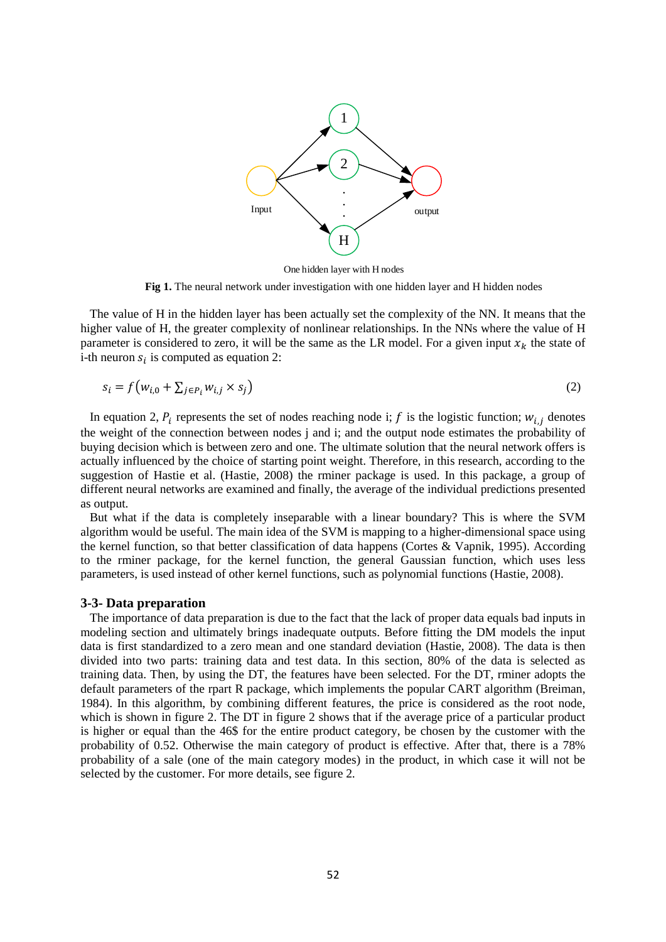

One hidden layer with H nodes

Fig 1. The neural network under investigation with one hidden layer and H hidden nodes

 The value of H in the hidden layer has been actually set the complexity of the NN. It means that the higher value of H, the greater complexity of nonlinear relationships. In the NNs where the value of H parameter is considered to zero, it will be the same as the LR model. For a given input  $x_k$  the state of i-th neuron  $s_i$  is computed as equation 2:

$$
s_i = f(w_{i,0} + \sum_{j \in P_i} w_{i,j} \times s_j)
$$
 (2)

In equation 2,  $P_i$  represents the set of nodes reaching node i; f is the logistic function;  $w_{i,j}$  denotes the weight of the connection between nodes j and i; and the output node estimates the probability of buying decision which is between zero and one. The ultimate solution that the neural network offers is actually influenced by the choice of starting point weight. Therefore, in this research, according to the suggestion of Hastie et al. (Hastie, 2008) the rminer package is used. In this package, a group of different neural networks are examined and finally, the average of the individual predictions presented as output.

 But what if the data is completely inseparable with a linear boundary? This is where the SVM algorithm would be useful. The main idea of the SVM is mapping to a higher-dimensional space using the kernel function, so that better classification of data happens (Cortes & Vapnik, 1995). According to the rminer package, for the kernel function, the general Gaussian function, which uses less parameters, is used instead of other kernel functions, such as polynomial functions (Hastie, 2008).

#### **3-3- Data preparation**

(1)<br>
(2)<br>
(2)<br>
(H)<br>
laye ation<br>
laye ation<br>
laye ation<br>
laye ation<br>
weight is a weight of dat be weight of the weight<br>
y, the weight of the weight of the weight of the weight<br>
y, the weight of the weight of the solution<br>
y The importance of data preparation is due to the fact that the lack of proper data equals bad inputs in modeling section and ultimately brings inadequate outputs. Before fitting the DM models the input data is first standardized to a zero mean and one standard deviation (Hastie, 2008). The data is then divided into two parts: training data and test data. In this section, 80% of the data is selected as training data. Then, by using the DT, the features have been selected. For the DT, rminer adopts the default parameters of the rpart R package, which implements the popular CART algorithm (Breiman, 1984). In this algorithm, by combining different features, the price is considered as the root node, which is shown in figure 2. The DT in figure 2 shows that if the average price of a particular product is higher or equal than the 46\$ for the entire product category, be chosen by the customer with the probability of 0.52. Otherwise the main category of product is effective. After that, there is a 78% probability of a sale (one of the main category modes) in the product, in which case it will not be selected by the customer. For more details, see figure 2.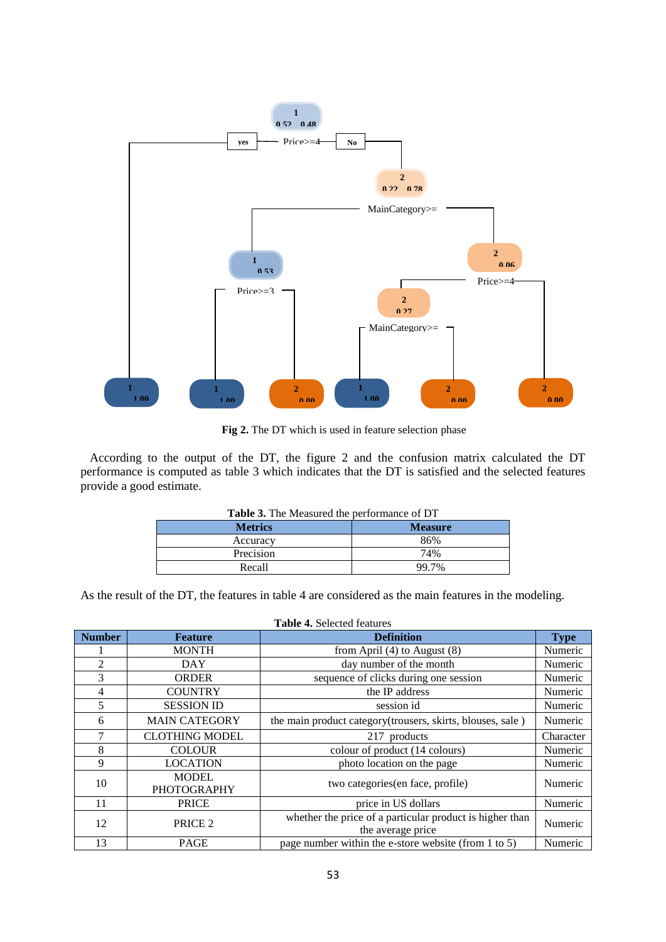

Fig 2. The DT which is used in feature selection phase

 According to the output of the DT, the figure 2 and the confusion matrix calculated the DT performance is computed as table 3 which indicates that the DT is satisfied and the selected features provide a good estimate.

| <b>Table 3.</b> The Measured the performance of DT |                |  |  |
|----------------------------------------------------|----------------|--|--|
| <b>Metrics</b>                                     | <b>Measure</b> |  |  |
| Accuracy                                           | 86%            |  |  |
| Precision                                          | 74%            |  |  |
| Recall                                             | 99.7%          |  |  |
|                                                    |                |  |  |

**Table 3.** The Measured the performance of DT

As the result of the DT, the features in table 4 are considered as the main features in the modeling.

| <b>Table 4.</b> Selected features |                                    |                                                                               |             |  |  |  |
|-----------------------------------|------------------------------------|-------------------------------------------------------------------------------|-------------|--|--|--|
| <b>Number</b>                     | <b>Feature</b>                     | <b>Definition</b>                                                             | <b>Type</b> |  |  |  |
|                                   | <b>MONTH</b>                       | from April $(4)$ to August $(8)$                                              | Numeric     |  |  |  |
| 2                                 | <b>DAY</b>                         | day number of the month                                                       | Numeric     |  |  |  |
| 3                                 | <b>ORDER</b>                       | sequence of clicks during one session                                         | Numeric     |  |  |  |
| 4                                 | <b>COUNTRY</b>                     | the IP address                                                                | Numeric     |  |  |  |
| 5                                 | <b>SESSION ID</b>                  | session id                                                                    | Numeric     |  |  |  |
| 6                                 | <b>MAIN CATEGORY</b>               | the main product category (trousers, skirts, blouses, sale)                   | Numeric     |  |  |  |
| 7                                 | <b>CLOTHING MODEL</b>              | 217 products                                                                  | Character   |  |  |  |
| 8                                 | <b>COLOUR</b>                      | colour of product (14 colours)                                                | Numeric     |  |  |  |
| 9                                 | <b>LOCATION</b>                    | photo location on the page                                                    | Numeric     |  |  |  |
| 10                                | <b>MODEL</b><br><b>PHOTOGRAPHY</b> | two categories (en face, profile)                                             | Numeric     |  |  |  |
| 11                                | <b>PRICE</b>                       | price in US dollars                                                           | Numeric     |  |  |  |
| 12                                | PRICE <sub>2</sub>                 | whether the price of a particular product is higher than<br>the average price | Numeric     |  |  |  |
| 13                                | <b>PAGE</b>                        | page number within the e-store website (from 1 to 5)                          | Numeric     |  |  |  |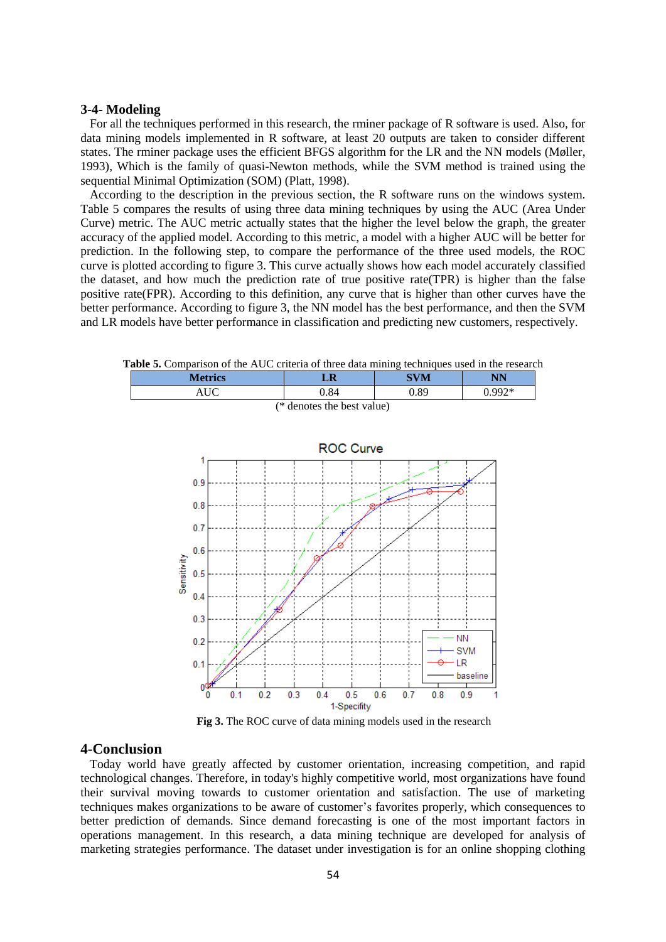#### **3-4- Modeling**

 For all the techniques performed in this research, the rminer package of R software is used. Also, for data mining models implemented in R software, at least 20 outputs are taken to consider different states. The rminer package uses the efficient BFGS algorithm for the LR and the NN models (Møller, 1993), Which is the family of quasi-Newton methods, while the SVM method is trained using the sequential Minimal Optimization (SOM) (Platt, 1998).

 According to the description in the previous section, the R software runs on the windows system. Table 5 compares the results of using three data mining techniques by using the AUC (Area Under Curve) metric. The AUC metric actually states that the higher the level below the graph, the greater accuracy of the applied model. According to this metric, a model with a higher AUC will be better for prediction. In the following step, to compare the performance of the three used models, the ROC curve is plotted according to figure 3. This curve actually shows how each model accurately classified the dataset, and how much the prediction rate of true positive rate(TPR) is higher than the false positive rate(FPR). According to this definition, any curve that is higher than other curves have the better performance. According to figure 3, the NN model has the best performance, and then the SVM and LR models have better performance in classification and predicting new customers, respectively.

**Table 5.** Comparison of the AUC criteria of three data mining techniques used in the research



**Fig 3.** The ROC curve of data mining models used in the research

### **4-Conclusion**

 Today world have greatly affected by customer orientation, increasing competition, and rapid technological changes. Therefore, in today's highly competitive world, most organizations have found their survival moving towards to customer orientation and satisfaction. The use of marketing techniques makes organizations to be aware of customer's favorites properly, which consequences to better prediction of demands. Since demand forecasting is one of the most important factors in operations management. In this research, a data mining technique are developed for analysis of marketing strategies performance. The dataset under investigation is for an online shopping clothing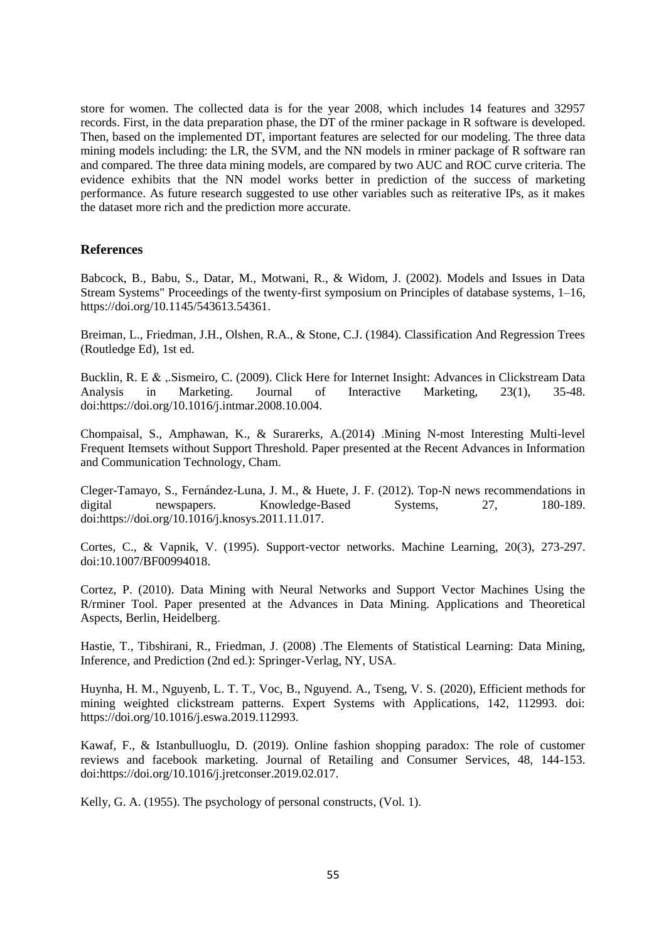store for women. The collected data is for the year 2008, which includes 14 features and 32957 records. First, in the data preparation phase, the DT of the rminer package in R software is developed. Then, based on the implemented DT, important features are selected for our modeling. The three data mining models including: the LR, the SVM, and the NN models in rminer package of R software ran and compared. The three data mining models, are compared by two AUC and ROC curve criteria. The evidence exhibits that the NN model works better in prediction of the success of marketing performance. As future research suggested to use other variables such as reiterative IPs, as it makes the dataset more rich and the prediction more accurate.

## **References**

Babcock, B., Babu, S., Datar, M., Motwani, R., & Widom, J. (2002). Models and Issues in Data Stream Systems" Proceedings of the twenty-first symposium on Principles of database systems, 1–16, https://doi.org/10.1145/543613.54361.

Breiman, L., Friedman, J.H., Olshen, R.A., & Stone, C.J. (1984). Classification And Regression Trees (Routledge Ed), 1st ed.

Bucklin, R. E & ,.Sismeiro, C. (2009). Click Here for Internet Insight: Advances in Clickstream Data Analysis in Marketing. Journal of Interactive Marketing, 23(1), 35-48. doi[:https://doi.org/10.1016/j.intmar.2008.10.004.](https://doi.org/10.1016/j.intmar.2008.10.004)

Chompaisal, S., Amphawan, K., & Surarerks, A.(2014) .Mining N-most Interesting Multi-level Frequent Itemsets without Support Threshold. Paper presented at the Recent Advances in Information and Communication Technology, Cham.

Cleger-Tamayo, S., Fernández-Luna, J. M., & Huete, J. F. (2012). Top-N news recommendations in digital newspapers. Knowledge-Based Systems, 27, 180-189. doi[:https://doi.org/10.1016/j.knosys.2011.11.017.](https://doi.org/10.1016/j.knosys.2011.11.017)

Cortes, C., & Vapnik, V. (1995). Support-vector networks. Machine Learning, 20(3), 273-297. doi:10.1007/BF00994018.

Cortez, P. (2010). Data Mining with Neural Networks and Support Vector Machines Using the R/rminer Tool. Paper presented at the Advances in Data Mining. Applications and Theoretical Aspects, Berlin, Heidelberg.

Hastie, T., Tibshirani, R., Friedman, J. (2008) .The Elements of Statistical Learning: Data Mining, Inference, and Prediction (2nd ed.): Springer-Verlag, NY, USA.

Huynha, H. M., Nguyenb, L. T. T., Voc, B., Nguyend. A., Tseng, V. S. (2020), Efficient methods for mining weighted clickstream patterns. Expert Systems with Applications, 142, 112993. doi: https://doi.org/10.1016/j.eswa.2019.112993.

Kawaf, F., & Istanbulluoglu, D. (2019). Online fashion shopping paradox: The role of customer reviews and facebook marketing. Journal of Retailing and Consumer Services, 48, 144-153. doi[:https://doi.org/10.1016/j.jretconser.2019.02.017.](https://doi.org/10.1016/j.jretconser.2019.02.017)

Kelly, G. A. (1955). The psychology of personal constructs, (Vol. 1).